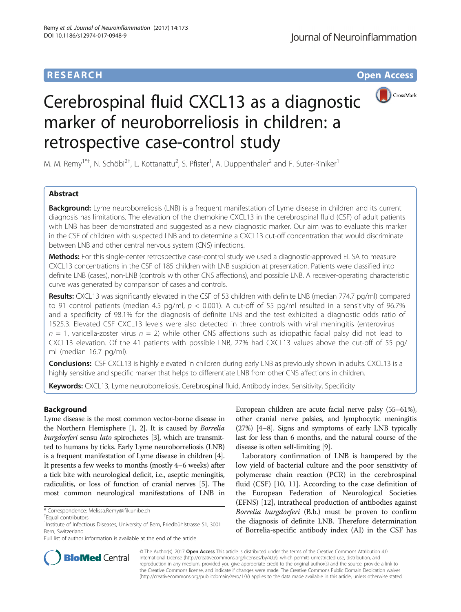# **RESEARCH CHE Open Access**



# Cerebrospinal fluid CXCL13 as a diagnostic marker of neuroborreliosis in children: a retrospective case-control study

M. M. Remy<sup>1\*†</sup>, N. Schöbi<sup>2†</sup>, L. Kottanattu<sup>2</sup>, S. Pfister<sup>1</sup>, A. Duppenthaler<sup>2</sup> and F. Suter-Riniker<sup>1</sup>

# Abstract

**Background:** Lyme neuroborreliosis (LNB) is a frequent manifestation of Lyme disease in children and its current diagnosis has limitations. The elevation of the chemokine CXCL13 in the cerebrospinal fluid (CSF) of adult patients with LNB has been demonstrated and suggested as a new diagnostic marker. Our aim was to evaluate this marker in the CSF of children with suspected LNB and to determine a CXCL13 cut-off concentration that would discriminate between LNB and other central nervous system (CNS) infections.

Methods: For this single-center retrospective case-control study we used a diagnostic-approved ELISA to measure CXCL13 concentrations in the CSF of 185 children with LNB suspicion at presentation. Patients were classified into definite LNB (cases), non-LNB (controls with other CNS affections), and possible LNB. A receiver-operating characteristic curve was generated by comparison of cases and controls.

Results: CXCL13 was significantly elevated in the CSF of 53 children with definite LNB (median 774.7 pg/ml) compared to 91 control patients (median 4.5 pg/ml,  $p < 0.001$ ). A cut-off of 55 pg/ml resulted in a sensitivity of 96.7% and a specificity of 98.1% for the diagnosis of definite LNB and the test exhibited a diagnostic odds ratio of 1525.3. Elevated CSF CXCL13 levels were also detected in three controls with viral meningitis (enterovirus  $n = 1$ , varicella-zoster virus  $n = 2$ ) while other CNS affections such as idiopathic facial palsy did not lead to CXCL13 elevation. Of the 41 patients with possible LNB, 27% had CXCL13 values above the cut-off of 55 pg/ ml (median 16.7 pg/ml).

Conclusions: CSF CXCL13 is highly elevated in children during early LNB as previously shown in adults. CXCL13 is a highly sensitive and specific marker that helps to differentiate LNB from other CNS affections in children.

Keywords: CXCL13, Lyme neuroborreliosis, Cerebrospinal fluid, Antibody index, Sensitivity, Specificity

## Background

Lyme disease is the most common vector-borne disease in the Northern Hemisphere [[1](#page-7-0), [2](#page-7-0)]. It is caused by Borrelia burgdorferi sensu lato spirochetes [\[3\]](#page-7-0), which are transmitted to humans by ticks. Early Lyme neuroborreliosis (LNB) is a frequent manifestation of Lyme disease in children [[4](#page-7-0)]. It presents a few weeks to months (mostly 4–6 weeks) after a tick bite with neurological deficit, i.e., aseptic meningitis, radiculitis, or loss of function of cranial nerves [\[5](#page-7-0)]. The most common neurological manifestations of LNB in

European children are acute facial nerve palsy (55–61%), other cranial nerve palsies, and lymphocytic meningitis (27%) [\[4](#page-7-0)–[8\]](#page-7-0). Signs and symptoms of early LNB typically last for less than 6 months, and the natural course of the disease is often self-limiting [\[9\]](#page-7-0).

Laboratory confirmation of LNB is hampered by the low yield of bacterial culture and the poor sensitivity of polymerase chain reaction (PCR) in the cerebrospinal fluid (CSF) [\[10, 11\]](#page-7-0). According to the case definition of the European Federation of Neurological Societies (EFNS) [[12](#page-7-0)], intrathecal production of antibodies against Borrelia burgdorferi (B.b.) must be proven to confirm the diagnosis of definite LNB. Therefore determination of Borrelia-specific antibody index (AI) in the CSF has



© The Author(s). 2017 **Open Access** This article is distributed under the terms of the Creative Commons Attribution 4.0 International License [\(http://creativecommons.org/licenses/by/4.0/](http://creativecommons.org/licenses/by/4.0/)), which permits unrestricted use, distribution, and reproduction in any medium, provided you give appropriate credit to the original author(s) and the source, provide a link to the Creative Commons license, and indicate if changes were made. The Creative Commons Public Domain Dedication waiver [\(http://creativecommons.org/publicdomain/zero/1.0/](http://creativecommons.org/publicdomain/zero/1.0/)) applies to the data made available in this article, unless otherwise stated.

<sup>\*</sup> Correspondence: [Melissa.Remy@ifik.unibe.ch](mailto:Melissa.Remy@ifik.unibe.ch) †

Equal contributors

<sup>&</sup>lt;sup>1</sup>Institute of Infectious Diseases, University of Bern, Friedbühlstrasse 51, 3001 Bern, Switzerland

Full list of author information is available at the end of the article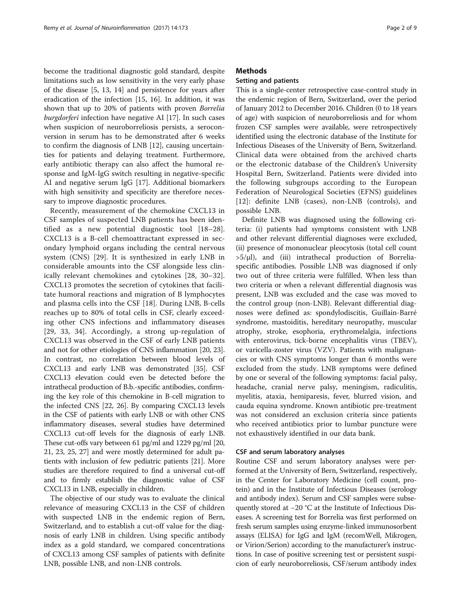become the traditional diagnostic gold standard, despite limitations such as low sensitivity in the very early phase of the disease [[5, 13, 14](#page-7-0)] and persistence for years after eradication of the infection [\[15, 16\]](#page-7-0). In addition, it was shown that up to 20% of patients with proven Borrelia burgdorferi infection have negative AI [\[17\]](#page-7-0). In such cases when suspicion of neuroborreliosis persists, a seroconversion in serum has to be demonstrated after 6 weeks to confirm the diagnosis of LNB [\[12](#page-7-0)], causing uncertainties for patients and delaying treatment. Furthermore, early antibiotic therapy can also affect the humoral response and IgM-IgG switch resulting in negative-specific AI and negative serum IgG [[17\]](#page-7-0). Additional biomarkers with high sensitivity and specificity are therefore necessary to improve diagnostic procedures.

Recently, measurement of the chemokine CXCL13 in CSF samples of suspected LNB patients has been identified as a new potential diagnostic tool [\[18](#page-7-0)–[28](#page-8-0)]. CXCL13 is a B-cell chemoattractant expressed in secondary lymphoid organs including the central nervous system (CNS) [\[29](#page-8-0)]. It is synthesized in early LNB in considerable amounts into the CSF alongside less clinically relevant chemokines and cytokines [[28](#page-8-0), [30](#page-8-0)–[32](#page-8-0)]. CXCL13 promotes the secretion of cytokines that facilitate humoral reactions and migration of B lymphocytes and plasma cells into the CSF [[18\]](#page-7-0). During LNB, B-cells reaches up to 80% of total cells in CSF, clearly exceeding other CNS infections and inflammatory diseases [[29, 33](#page-8-0), [34\]](#page-8-0). Accordingly, a strong up-regulation of CXCL13 was observed in the CSF of early LNB patients and not for other etiologies of CNS inflammation [\[20, 23](#page-7-0)]. In contrast, no correlation between blood levels of CXCL13 and early LNB was demonstrated [\[35\]](#page-8-0). CSF CXCL13 elevation could even be detected before the intrathecal production of B.b.-specific antibodies, confirming the key role of this chemokine in B-cell migration to the infected CNS [\[22, 26](#page-7-0)]. By comparing CXCL13 levels in the CSF of patients with early LNB or with other CNS inflammatory diseases, several studies have determined CXCL13 cut-off levels for the diagnosis of early LNB. These cut-offs vary between 61 pg/ml and 1229 pg/ml [[20](#page-7-0), [21](#page-7-0), [23, 25, 27](#page-7-0)] and were mostly determined for adult patients with inclusion of few pediatric patients [\[21\]](#page-7-0). More studies are therefore required to find a universal cut-off and to firmly establish the diagnostic value of CSF CXCL13 in LNB, especially in children.

The objective of our study was to evaluate the clinical relevance of measuring CXCL13 in the CSF of children with suspected LNB in the endemic region of Bern, Switzerland, and to establish a cut-off value for the diagnosis of early LNB in children. Using specific antibody index as a gold standard, we compared concentrations of CXCL13 among CSF samples of patients with definite LNB, possible LNB, and non-LNB controls.

## **Methods**

## Setting and patients

This is a single-center retrospective case-control study in the endemic region of Bern, Switzerland, over the period of January 2012 to December 2016. Children (0 to 18 years of age) with suspicion of neuroborreliosis and for whom frozen CSF samples were available, were retrospectively identified using the electronic database of the Institute for Infectious Diseases of the University of Bern, Switzerland. Clinical data were obtained from the archived charts or the electronic database of the Children's University Hospital Bern, Switzerland. Patients were divided into the following subgroups according to the European Federation of Neurological Societies (EFNS) guidelines [[12](#page-7-0)]: definite LNB (cases), non-LNB (controls), and possible LNB.

Definite LNB was diagnosed using the following criteria: (i) patients had symptoms consistent with LNB and other relevant differential diagnoses were excluded, (ii) presence of mononuclear pleocytosis (total cell count >5/μl), and (iii) intrathecal production of Borreliaspecific antibodies. Possible LNB was diagnosed if only two out of three criteria were fulfilled. When less than two criteria or when a relevant differential diagnosis was present, LNB was excluded and the case was moved to the control group (non-LNB). Relevant differential diagnoses were defined as: spondylodiscitis, Guillain-Barré syndrome, mastoiditis, hereditary neuropathy, muscular atrophy, stroke, esophoria, erythromelalgia, infections with enterovirus, tick-borne encephalitis virus (TBEV), or varicella-zoster virus (VZV). Patients with malignancies or with CNS symptoms longer than 6 months were excluded from the study. LNB symptoms were defined by one or several of the following symptoms: facial palsy, headache, cranial nerve palsy, meningism, radiculitis, myelitis, ataxia, hemiparesis, fever, blurred vision, and cauda equina syndrome. Known antibiotic pre-treatment was not considered an exclusion criteria since patients who received antibiotics prior to lumbar puncture were not exhaustively identified in our data bank.

## CSF and serum laboratory analyses

Routine CSF and serum laboratory analyses were performed at the University of Bern, Switzerland, respectively, in the Center for Laboratory Medicine (cell count, protein) and in the Institute of Infectious Diseases (serology and antibody index). Serum and CSF samples were subsequently stored at −20 °C at the Institute of Infectious Diseases. A screening test for Borrelia was first performed on fresh serum samples using enzyme-linked immunosorbent assays (ELISA) for IgG and IgM (recomWell, Mikrogen, or Virion/Serion) according to the manufacturer's instructions. In case of positive screening test or persistent suspicion of early neuroborreliosis, CSF/serum antibody index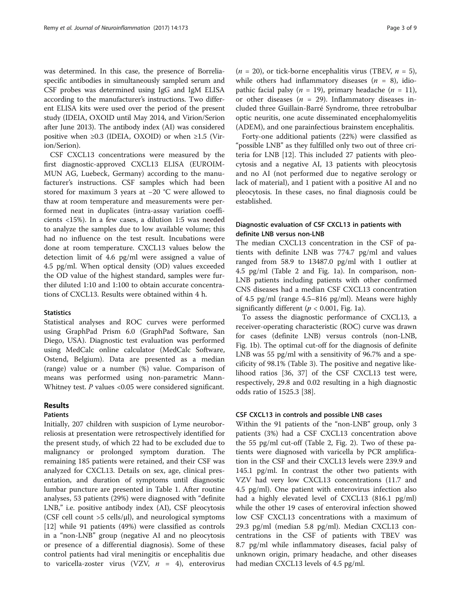was determined. In this case, the presence of Borreliaspecific antibodies in simultaneously sampled serum and CSF probes was determined using IgG and IgM ELISA according to the manufacturer's instructions. Two different ELISA kits were used over the period of the present study (IDEIA, OXOID until May 2014, and Virion/Serion after June 2013). The antibody index (AI) was considered positive when  $\geq 0.3$  (IDEIA, OXOID) or when  $\geq 1.5$  (Virion/Serion).

CSF CXCL13 concentrations were measured by the first diagnostic-approved CXCL13 ELISA (EUROIM-MUN AG, Luebeck, Germany) according to the manufacturer's instructions. CSF samples which had been stored for maximum 3 years at −20 °C were allowed to thaw at room temperature and measurements were performed neat in duplicates (intra-assay variation coefficients <15%). In a few cases, a dilution 1:5 was needed to analyze the samples due to low available volume; this had no influence on the test result. Incubations were done at room temperature. CXCL13 values below the detection limit of 4.6 pg/ml were assigned a value of 4.5 pg/ml. When optical density (OD) values exceeded the OD value of the highest standard, samples were further diluted 1:10 and 1:100 to obtain accurate concentrations of CXCL13. Results were obtained within 4 h.

## **Statistics**

Statistical analyses and ROC curves were performed using GraphPad Prism 6.0 (GraphPad Software, San Diego, USA). Diagnostic test evaluation was performed using MedCalc online calculator (MedCalc Software, Ostend, Belgium). Data are presented as a median (range) value or a number (%) value. Comparison of means was performed using non-parametric Mann-Whitney test.  $P$  values <0.05 were considered significant.

## Results

## Patients

Initially, 207 children with suspicion of Lyme neuroborreliosis at presentation were retrospectively identified for the present study, of which 22 had to be excluded due to malignancy or prolonged symptom duration. The remaining 185 patients were retained, and their CSF was analyzed for CXCL13. Details on sex, age, clinical presentation, and duration of symptoms until diagnostic lumbar puncture are presented in Table [1.](#page-3-0) After routine analyses, 53 patients (29%) were diagnosed with "definite LNB," i.e. positive antibody index (AI), CSF pleocytosis (CSF cell count  $>5$  cells/ $\mu$ l), and neurological symptoms [[12\]](#page-7-0) while 91 patients (49%) were classified as controls in a "non-LNB" group (negative AI and no pleocytosis or presence of a differential diagnosis). Some of these control patients had viral meningitis or encephalitis due to varicella-zoster virus (VZV,  $n = 4$ ), enterovirus

 $(n = 20)$ , or tick-borne encephalitis virus (TBEV,  $n = 5$ ), while others had inflammatory diseases  $(n = 8)$ , idiopathic facial palsy ( $n = 19$ ), primary headache ( $n = 11$ ), or other diseases ( $n = 29$ ). Inflammatory diseases included three Guillain-Barré Syndrome, three retrobulbar optic neuritis, one acute disseminated encephalomyelitis (ADEM), and one parainfectious brainstem encephalitis.

Forty-one additional patients (22%) were classified as "possible LNB" as they fulfilled only two out of three criteria for LNB [[12](#page-7-0)]. This included 27 patients with pleocytosis and a negative AI, 13 patients with pleocytosis and no AI (not performed due to negative serology or lack of material), and 1 patient with a positive AI and no pleocytosis. In these cases, no final diagnosis could be established.

## Diagnostic evaluation of CSF CXCL13 in patients with definite LNB versus non-LNB

The median CXCL13 concentration in the CSF of patients with definite LNB was 774.7 pg/ml and values ranged from 58.9 to 13487.0 pg/ml with 1 outlier at 4.5 pg/ml (Table [2](#page-4-0) and Fig. [1a](#page-4-0)). In comparison, non-LNB patients including patients with other confirmed CNS diseases had a median CSF CXCL13 concentration of 4.5 pg/ml (range 4.5–816 pg/ml). Means were highly significantly different ( $p < 0.001$ , Fig. [1a](#page-4-0)).

To assess the diagnostic performance of CXCL13, a receiver-operating characteristic (ROC) curve was drawn for cases (definite LNB) versus controls (non-LNB, Fig. [1](#page-4-0)b). The optimal cut-off for the diagnosis of definite LNB was 55 pg/ml with a sensitivity of 96.7% and a specificity of 98.1% (Table [3\)](#page-4-0). The positive and negative likelihood ratios [\[36, 37](#page-8-0)] of the CSF CXCL13 test were, respectively, 29.8 and 0.02 resulting in a high diagnostic odds ratio of 1525.3 [[38](#page-8-0)].

## CSF CXCL13 in controls and possible LNB cases

Within the 91 patients of the "non-LNB" group, only 3 patients (3%) had a CSF CXCL13 concentration above the 55 pg/ml cut-off (Table [2](#page-4-0), Fig. [2](#page-5-0)). Two of these patients were diagnosed with varicella by PCR amplification in the CSF and their CXCL13 levels were 239.9 and 145.1 pg/ml. In contrast the other two patients with VZV had very low CXCL13 concentrations (11.7 and 4.5 pg/ml). One patient with enterovirus infection also had a highly elevated level of CXCL13 (816.1 pg/ml) while the other 19 cases of enteroviral infection showed low CSF CXCL13 concentrations with a maximum of 29.3 pg/ml (median 5.8 pg/ml). Median CXCL13 concentrations in the CSF of patients with TBEV was 8.7 pg/ml while inflammatory diseases, facial palsy of unknown origin, primary headache, and other diseases had median CXCL13 levels of 4.5 pg/ml.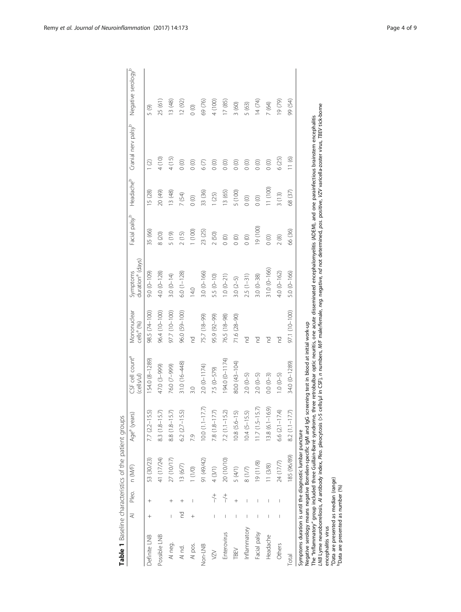<span id="page-3-0"></span>

|                                                                                                              |                         |                             | Table 1 Baseline characteristics of the patient groups                                                                                                                                               |                                       |                                                                                                            |                                       |                                          |                           |                       |                                                                                                                                                                                                                                                                                |                                |
|--------------------------------------------------------------------------------------------------------------|-------------------------|-----------------------------|------------------------------------------------------------------------------------------------------------------------------------------------------------------------------------------------------|---------------------------------------|------------------------------------------------------------------------------------------------------------|---------------------------------------|------------------------------------------|---------------------------|-----------------------|--------------------------------------------------------------------------------------------------------------------------------------------------------------------------------------------------------------------------------------------------------------------------------|--------------------------------|
|                                                                                                              | $\overline{\mathbf{z}}$ | Pleo.                       | n (M/F)                                                                                                                                                                                              | Age <sup>a</sup> (years)              | CSF cell count <sup>a</sup><br>(cells/ul)                                                                  | Mononuclear<br>cells <sup>ª</sup> (%) | duration <sup>ª</sup> (days)<br>symptoms | Facial palsy <sup>b</sup> | Headache <sup>b</sup> | Cranial nerv palsy <sup>b</sup>                                                                                                                                                                                                                                                | Negative serology <sup>b</sup> |
| Definite LNB                                                                                                 |                         |                             | 53 (30/23)                                                                                                                                                                                           | $7.7 (2.2 - 15.5)$                    | 154.0 (8-1289)                                                                                             | 98.5 (74-100)                         | $(601 - 0)$ 0.6                          | 35 (66)                   | 15 (28)               | 1(2)                                                                                                                                                                                                                                                                           | 5(9)                           |
| Possible LNB                                                                                                 |                         |                             | 41 (17/24)                                                                                                                                                                                           | $8.3(1.8-15.7)$                       | 47.0 (3-999)                                                                                               | 96.4 (10-100)                         | $4.0 (0 - 128)$                          | 8 (20)                    | 20 (49)               | 4(10)                                                                                                                                                                                                                                                                          | 25 (61)                        |
| AI neg.                                                                                                      |                         |                             | 27 (10/17)                                                                                                                                                                                           | 8.8 (1.8-15.7)                        | 76.0 (7-999)                                                                                               | 97.7 (10-100)                         | 3.0 $(0-14)$                             | 5 (19)                    | 13 (48)               | 4(15)                                                                                                                                                                                                                                                                          | 13 (48)                        |
| Al nd.                                                                                                       | p                       |                             | 13(6/7)                                                                                                                                                                                              | $6.2 (2.7 - 15.5)$                    | $31.0(16-448)$                                                                                             | 96.0 (59-100)                         | $6.0(1 - 128)$                           | 2(15)                     | 7 (54)                | $\circ$                                                                                                                                                                                                                                                                        | 12 (92)                        |
| AI pos.                                                                                                      |                         |                             | (1/0)                                                                                                                                                                                                | 7.9                                   | 3.0                                                                                                        | p                                     | 14.0                                     | (100)                     | $\circ$               | (0)                                                                                                                                                                                                                                                                            | $\circ$                        |
| Non-LNB                                                                                                      |                         |                             | 91 (49/42)                                                                                                                                                                                           | $10.0 (1.1 - 17.7)$                   | $2.0(0-1174)$                                                                                              | 75.7 (18-99)                          | $3.0(0-166)$                             | 23 (25)                   | 33 (36)               | 6(7)                                                                                                                                                                                                                                                                           | 69 (76)                        |
| $\gtrapprox$                                                                                                 |                         |                             | 4(3/1)                                                                                                                                                                                               | $7.8(1.8 - 17.7)$                     | 7.5 (0-579)                                                                                                | 95.9 (92-99)                          | 5.5 (0-10)                               | 2(50)                     | 1(25)                 | $\circ$                                                                                                                                                                                                                                                                        | 4(100)                         |
| Enterovirus                                                                                                  | I                       | $\stackrel{+}{\rightarrow}$ | 20 (10/10)                                                                                                                                                                                           | $7.2(1.1 - 15.2)$                     | $194.0 (0 - 1174)$                                                                                         | 76.5 (18-98)                          | $1.0 (0 - 21)$                           | $\circ$                   | 13 (65)               | $\circ$                                                                                                                                                                                                                                                                        | 17 (85)                        |
| TBEV                                                                                                         |                         | $^{+}$                      | 5 (4/1)                                                                                                                                                                                              | $10.8$ $(5.6 - 15)$                   | 80.0 (43-104)                                                                                              | 71.6 (28-90)                          | $3.0(2-5)$                               | $\circ$                   | 5 (100)               | $\circ$                                                                                                                                                                                                                                                                        | 3(60)                          |
| Inflammatory                                                                                                 |                         |                             | $8(1/7)$                                                                                                                                                                                             | $10.4 (5 - 15.5)$                     | $2.0 (0 - 5)$                                                                                              | pd                                    | $2.5(1-31)$                              | $\circ$                   | $\circ$               | $\circ$                                                                                                                                                                                                                                                                        | 5 (63)                         |
| Facial palsy                                                                                                 |                         |                             | 19 (11/8)                                                                                                                                                                                            | ŕ.<br>$11.7(1.5-15$                   | $2.0 (0 - 5)$                                                                                              | 걷                                     | $3.0 (0 - 38)$                           | 19 (100)                  | $\circ$               | $\circ$                                                                                                                                                                                                                                                                        | 14(74)                         |
| Headache                                                                                                     |                         | I                           | 11 (3/8)                                                                                                                                                                                             | $\widetilde{O}$ .<br>$13.8(6.1 - 16)$ | $0.0(0-3)$                                                                                                 | g                                     | $31.0 (0 - 166)$                         | $\circ$                   | 11(100)               | $\circ$                                                                                                                                                                                                                                                                        | 7 (64)                         |
| Others                                                                                                       |                         | I                           | 24 (17/7)                                                                                                                                                                                            | $6.6(2.1 - 17.4)$                     | $1.0 (0-5)$                                                                                                | 5                                     | $4.0(0-162)$                             | 2(8)                      | 3(13)                 | 6 (25)                                                                                                                                                                                                                                                                         | (6/9)                          |
| Total                                                                                                        |                         |                             | 185 (96/89)                                                                                                                                                                                          | $8.2(1.1 - 17.7)$                     | 34.0 (0-1289)                                                                                              | 97.1 (10-100)                         | 5.0 (0-166)                              | 66 (36)                   | 68 (37)               | 11(6)                                                                                                                                                                                                                                                                          | 99 (54)                        |
| "Data are presented as median (range)<br><sup>b</sup> Data are presented as number (%)<br>encephalitis virus |                         |                             | LNB Lyme neuroborreliosis, AI antibody index, Pleo. pleocytosis (>5<br>The "Inflammatory" group included three Guillain-Barré syndrome,<br>Symptoms duration is until the diagnostic lumbar puncture |                                       | Negative serology means negative Borrelien-specific IgM and IgG screening test in blood at initial work-up |                                       |                                          |                           |                       | cells/µl in CSF), n numbers, M/F male/female, neg. negative, nd not determined, pos. positive, VZV varicella-zoster virus, TBEV tick-borne<br>three retrobulbar optic neuritis, one acute disseminated encephalomyelitis (ADEM), and one parainfectious brainstem encephalitis |                                |
|                                                                                                              |                         |                             |                                                                                                                                                                                                      |                                       |                                                                                                            |                                       |                                          |                           |                       |                                                                                                                                                                                                                                                                                |                                |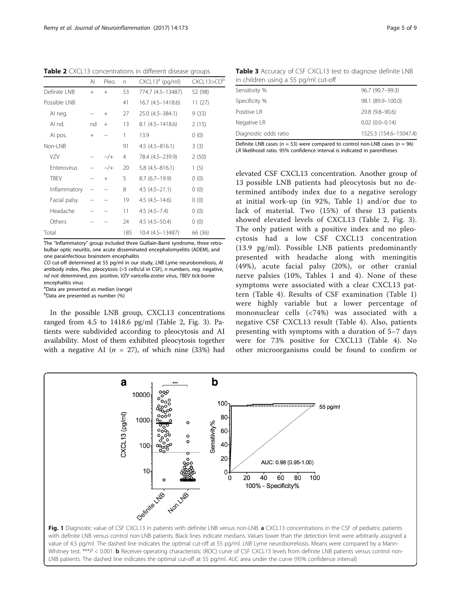<span id="page-4-0"></span>Table 2 CXCL13 concentrations in different disease groups

|                    | AI     | Pleo.  | n   | CXCL13 <sup>ª</sup> (pg/ml) | CXCL13 > CO <sup>b</sup> |
|--------------------|--------|--------|-----|-----------------------------|--------------------------|
| Definite LNB       | $^{+}$ | $^{+}$ | 53  | 774.7 (4.5–13487)           | 52 (98)                  |
| Possible I NB      |        |        | 41  | $16.7(4.5 - 1418.6)$        | 11(27)                   |
| Al neg.            |        | $^{+}$ | 27  | 25.0 (4.5–384.1)            | 9(33)                    |
| AI nd.             | nd     | $+$    | 13  | $8.1(4.5 - 1418.6)$         | 2(15)                    |
| Al pos.            | $^{+}$ |        | 1   | 13.9                        | 0(0)                     |
| Non-LNB            |        |        | 91  | $4.5(4.5 - 816.1)$          | 3(3)                     |
| <b>VZV</b>         |        | $-\pi$ | 4   | 78.4 (4.5-239.9)            | 2(50)                    |
| <b>Enterovirus</b> |        | $-\/+$ | 20  | $5.8(4.5 - 816.1)$          | 1(5)                     |
| <b>TBEV</b>        |        | $^{+}$ | 5   | $8.7(6.7-19.9)$             | 0(0)                     |
| Inflammatory       |        |        | 8   | $4.5(4.5-21.1)$             | 0(0)                     |
| Facial palsy       |        |        | 19  | $4.5(4.5 - 14.6)$           | 0(0)                     |
| Headache           |        |        | 11  | $4.5(4.5 - 7.4)$            | 0(0)                     |
| Others             |        |        | 24  | $4.5(4.5-50.4)$             | 0(0)                     |
| Total              |        |        | 185 | 10.4 (4.5-13487)            | 66 (36)                  |

The "Inflammatory" group included three Guillain-Barré syndrome, three retrobulbar optic neuritis, one acute disseminated encephalomyelitis (ADEM), and one parainfectious brainstem encephalitis

CO cut-off determined at 55 pg/ml in our study, LNB Lyme neuroborreliosis, AI antibody index, Pleo. pleocytosis ( $>5$  cells/ul in CSF), n numbers, neg. negative, nd not determined, pos. positive, VZV varicella-zoster virus, TBEV tick-borne encephalitis virus

<sup>a</sup>Data are presented as median (range)

b Data are presented as number (%)

In the possible LNB group, CXCL13 concentrations ranged from 4.5 to 1418.6 pg/ml (Table 2, Fig. [3](#page-5-0)). Patients were subdivided according to pleocytosis and AI availability. Most of them exhibited pleocytosis together with a negative AI ( $n = 27$ ), of which nine (33%) had

|  |  |                                      | <b>Table 3</b> Accuracy of CSF CXCL13 test to diagnose definite LNB |  |
|--|--|--------------------------------------|---------------------------------------------------------------------|--|
|  |  | in children using a 55 pg/ml cut-off |                                                                     |  |

| .                     |                        |
|-----------------------|------------------------|
| Sensitivity %         | 96.7 (90.7-99.3)       |
| Specificity %         | 98.1 (89.9-100.0)      |
| Positive LR           | 29.8 (9.8-90.6)        |
| Negative LR           | $0.02(0.0 - 0.14)$     |
| Diagnostic odds ratio | 1525.3 (154.6-15047.4) |

Definite LNB cases ( $n = 53$ ) were compared to control non-LNB cases ( $n = 96$ ) LR likelihood ratio. 95% confidence interval is indicated in parentheses

elevated CSF CXCL13 concentration. Another group of 13 possible LNB patients had pleocytosis but no determined antibody index due to a negative serology at initial work-up (in 92%, Table [1\)](#page-3-0) and/or due to lack of material. Two (15%) of these 13 patients showed elevated levels of CXCL13 (Table 2, Fig. [3](#page-5-0)). The only patient with a positive index and no pleocytosis had a low CSF CXCL13 concentration (13.9 pg/ml). Possible LNB patients predominantly presented with headache along with meningitis (49%), acute facial palsy (20%), or other cranial nerve palsies (10%, Tables [1](#page-3-0) and [4\)](#page-5-0). None of these symptoms were associated with a clear CXCL13 pattern (Table [4\)](#page-5-0). Results of CSF examination (Table [1](#page-3-0)) were highly variable but a lower percentage of mononuclear cells (<74%) was associated with a negative CSF CXCL13 result (Table [4\)](#page-5-0). Also, patients presenting with symptoms with a duration of 5–7 days were for 73% positive for CXCL13 (Table [4](#page-5-0)). No other microorganisms could be found to confirm or



value of 4.5 pg/ml. The dashed line indicates the optimal cut-off at 55 pg/ml. LNB Lyme neuroborreliosis. Means were compared by a Mann-Whitney test. \*\*\*P < 0.001. **b** Receiver-operating characteristic (ROC) curve of CSF CXCL13 levels from definite LNB patients versus control non-LNB patients. The dashed line indicates the optimal cut-off at 55 pg/ml. AUC area under the curve (95% confidence interval)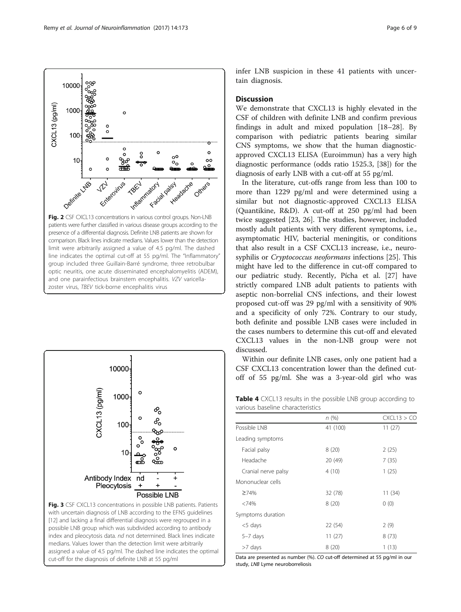<span id="page-5-0"></span>

Fig. 2 CSF CXCL13 concentrations in various control groups. Non-LNB patients were further classified in various disease groups according to the presence of a differential diagnosis. Definite LNB patients are shown for comparison. Black lines indicate medians. Values lower than the detection limit were arbitrarily assigned a value of 4.5 pg/ml. The dashed line indicates the optimal cut-off at 55 pg/ml. The "Inflammatory" group included three Guillain-Barré syndrome, three retrobulbar optic neuritis, one acute disseminated encephalomyelitis (ADEM), and one parainfectious brainstem encephalitis. VZV varicellazoster virus, TBEV tick-borne encephalitis virus



infer LNB suspicion in these 41 patients with uncertain diagnosis.

## **Discussion**

We demonstrate that CXCL13 is highly elevated in the CSF of children with definite LNB and confirm previous findings in adult and mixed population [\[18](#page-7-0)–[28\]](#page-8-0). By comparison with pediatric patients bearing similar CNS symptoms, we show that the human diagnosticapproved CXCL13 ELISA (Euroimmun) has a very high diagnostic performance (odds ratio 1525.3, [\[38](#page-8-0)]) for the diagnosis of early LNB with a cut-off at 55 pg/ml.

In the literature, cut-offs range from less than 100 to more than 1229 pg/ml and were determined using a similar but not diagnostic-approved CXCL13 ELISA (Quantikine, R&D). A cut-off at 250 pg/ml had been twice suggested [[23, 26](#page-7-0)]. The studies, however, included mostly adult patients with very different symptoms, i.e., asymptomatic HIV, bacterial meningitis, or conditions that also result in a CSF CXCL13 increase, i.e., neurosyphilis or *Cryptococcus neoformans* infections [\[25](#page-7-0)]. This might have led to the difference in cut-off compared to our pediatric study. Recently, Pícha et al. [[27\]](#page-7-0) have strictly compared LNB adult patients to patients with aseptic non-borrelial CNS infections, and their lowest proposed cut-off was 29 pg/ml with a sensitivity of 90% and a specificity of only 72%. Contrary to our study, both definite and possible LNB cases were included in the cases numbers to determine this cut-off and elevated CXCL13 values in the non-LNB group were not discussed.

Within our definite LNB cases, only one patient had a CSF CXCL13 concentration lower than the defined cutoff of 55 pg/ml. She was a 3-year-old girl who was

Table 4 CXCL13 results in the possible LNB group according to various baseline characteristics

|                     | n(%)     | CXCL13 > CO |
|---------------------|----------|-------------|
| Possible INB        | 41 (100) | 11(27)      |
| Leading symptoms    |          |             |
| Facial palsy        | 8(20)    | 2(25)       |
| Headache            | 20 (49)  | 7(35)       |
| Cranial nerve palsy | 4(10)    | 1(25)       |
| Mononuclear cells   |          |             |
| $\geq 74\%$         | 32 (78)  | 11(34)      |
| <74%                | 8(20)    | 0(0)        |
| Symptoms duration   |          |             |
| <5 days             | 22 (54)  | 2(9)        |
| $5-7$ days          | 11(27)   | 8(73)       |
| >7 days             | 8(20)    | 1(13)       |

Data are presented as number (%). CO cut-off determined at 55 pg/ml in our study, LNB Lyme neuroborreliosis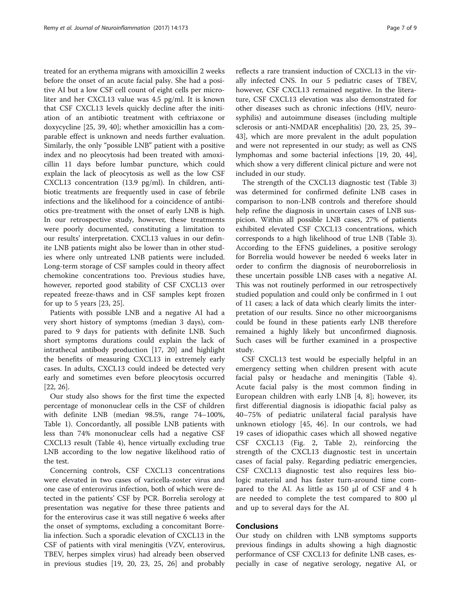treated for an erythema migrans with amoxicillin 2 weeks before the onset of an acute facial palsy. She had a positive AI but a low CSF cell count of eight cells per microliter and her CXCL13 value was 4.5 pg/ml. It is known that CSF CXCL13 levels quickly decline after the initiation of an antibiotic treatment with ceftriaxone or doxycycline [[25,](#page-7-0) [39, 40](#page-8-0)]; whether amoxicillin has a comparable effect is unknown and needs further evaluation. Similarly, the only "possible LNB" patient with a positive index and no pleocytosis had been treated with amoxicillin 11 days before lumbar puncture, which could explain the lack of pleocytosis as well as the low CSF CXCL13 concentration (13.9 pg/ml). In children, antibiotic treatments are frequently used in case of febrile infections and the likelihood for a coincidence of antibiotics pre-treatment with the onset of early LNB is high. In our retrospective study, however, these treatments were poorly documented, constituting a limitation to our results' interpretation. CXCL13 values in our definite LNB patients might also be lower than in other studies where only untreated LNB patients were included. Long-term storage of CSF samples could in theory affect chemokine concentrations too. Previous studies have, however, reported good stability of CSF CXCL13 over repeated freeze-thaws and in CSF samples kept frozen for up to 5 years [[23](#page-7-0), [25](#page-7-0)].

Patients with possible LNB and a negative AI had a very short history of symptoms (median 3 days), compared to 9 days for patients with definite LNB. Such short symptoms durations could explain the lack of intrathecal antibody production [\[17, 20](#page-7-0)] and highlight the benefits of measuring CXCL13 in extremely early cases. In adults, CXCL13 could indeed be detected very early and sometimes even before pleocytosis occurred [[22, 26\]](#page-7-0).

Our study also shows for the first time the expected percentage of mononuclear cells in the CSF of children with definite LNB (median 98.5%, range 74–100%, Table [1](#page-3-0)). Concordantly, all possible LNB patients with less than 74% mononuclear cells had a negative CSF CXCL13 result (Table [4\)](#page-5-0), hence virtually excluding true LNB according to the low negative likelihood ratio of the test.

Concerning controls, CSF CXCL13 concentrations were elevated in two cases of varicella-zoster virus and one case of enterovirus infection, both of which were detected in the patients' CSF by PCR. Borrelia serology at presentation was negative for these three patients and for the enterovirus case it was still negative 6 weeks after the onset of symptoms, excluding a concomitant Borrelia infection. Such a sporadic elevation of CXCL13 in the CSF of patients with viral meningitis (VZV, enterovirus, TBEV, herpes simplex virus) had already been observed in previous studies [[19, 20, 23](#page-7-0), [25, 26](#page-7-0)] and probably

reflects a rare transient induction of CXCL13 in the virally infected CNS. In our 5 pediatric cases of TBEV, however, CSF CXCL13 remained negative. In the literature, CSF CXCL13 elevation was also demonstrated for other diseases such as chronic infections (HIV, neurosyphilis) and autoimmune diseases (including multiple sclerosis or anti-NMDAR encephalitis) [\[20](#page-7-0), [23](#page-7-0), [25,](#page-7-0) [39](#page-8-0)– [43\]](#page-8-0), which are more prevalent in the adult population and were not represented in our study; as well as CNS lymphomas and some bacterial infections [[19, 20,](#page-7-0) [44](#page-8-0)], which show a very different clinical picture and were not included in our study.

The strength of the CXCL13 diagnostic test (Table [3](#page-4-0)) was determined for confirmed definite LNB cases in comparison to non-LNB controls and therefore should help refine the diagnosis in uncertain cases of LNB suspicion. Within all possible LNB cases, 27% of patients exhibited elevated CSF CXCL13 concentrations, which corresponds to a high likelihood of true LNB (Table [3](#page-4-0)). According to the EFNS guidelines, a positive serology for Borrelia would however be needed 6 weeks later in order to confirm the diagnosis of neuroborreliosis in these uncertain possible LNB cases with a negative AI. This was not routinely performed in our retrospectively studied population and could only be confirmed in 1 out of 11 cases; a lack of data which clearly limits the interpretation of our results. Since no other microorganisms could be found in these patients early LNB therefore remained a highly likely but unconfirmed diagnosis. Such cases will be further examined in a prospective study.

CSF CXCL13 test would be especially helpful in an emergency setting when children present with acute facial palsy or headache and meningitis (Table [4](#page-5-0)). Acute facial palsy is the most common finding in European children with early LNB [\[4](#page-7-0), [8](#page-7-0)]; however, its first differential diagnosis is idiopathic facial palsy as 40–75% of pediatric unilateral facial paralysis have unknown etiology [[45, 46\]](#page-8-0). In our controls, we had 19 cases of idiopathic cases which all showed negative CSF CXCL13 (Fig. [2](#page-5-0), Table [2\)](#page-4-0), reinforcing the strength of the CXCL13 diagnostic test in uncertain cases of facial palsy. Regarding pediatric emergencies, CSF CXCL13 diagnostic test also requires less biologic material and has faster turn-around time compared to the AI. As little as 150 μl of CSF and 4 h are needed to complete the test compared to 800 μl and up to several days for the AI.

## **Conclusions**

Our study on children with LNB symptoms supports previous findings in adults showing a high diagnostic performance of CSF CXCL13 for definite LNB cases, especially in case of negative serology, negative AI, or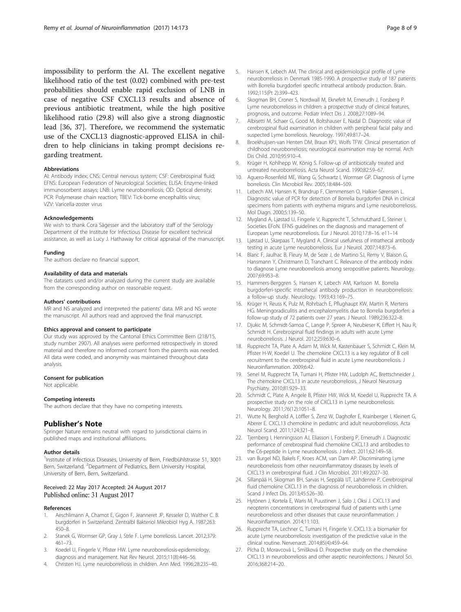<span id="page-7-0"></span>impossibility to perform the AI. The excellent negative likelihood ratio of the test (0.02) combined with pre-test probabilities should enable rapid exclusion of LNB in case of negative CSF CXCL13 results and absence of previous antibiotic treatment, while the high positive likelihood ratio (29.8) will also give a strong diagnostic lead [[36](#page-8-0), [37\]](#page-8-0). Therefore, we recommend the systematic use of the CXCL13 diagnostic-approved ELISA in children to help clinicians in taking prompt decisions regarding treatment.

#### Abbreviations

AI: Antibody index; CNS: Central nervous system; CSF: Cerebrospinal fluid; EFNS: European Federation of Neurological Societies; ELISA: Enzyme-linked immunosorbent assays; LNB: Lyme neuroborreliosis; OD: Optical density; PCR: Polymerase chain reaction; TBEV: Tick-borne encephalitis virus; VZV: Varicella-zoster virus

#### Acknowledgements

We wish to thank Cora Sägesser and the laboratory staff of the Serology Department of the Institute for Infectious Disease for excellent technical assistance, as well as Lucy J. Hathaway for critical appraisal of the manuscript.

#### Funding

The authors declare no financial support.

#### Availability of data and materials

The datasets used and/or analyzed during the current study are available from the corresponding author on reasonable request.

#### Authors' contributions

MR and NS analyzed and interpreted the patients' data. MR and NS wrote the manuscript. All authors read and approved the final manuscript.

## Ethics approval and consent to participate

Our study was approved by the Cantonal Ethics Committee Bern (218/15, study number 2907). All analyses were performed retrospectively in stored material and therefore no informed consent from the parents was needed. All data were coded, and anonymity was maintained throughout data analysis.

#### Consent for publication

Not applicable.

#### Competing interests

The authors declare that they have no competing interests.

## Publisher's Note

Springer Nature remains neutral with regard to jurisdictional claims in published maps and institutional affiliations.

#### Author details

<sup>1</sup>Institute of Infectious Diseases, University of Bern, Friedbühlstrasse 51, 3001 Bern, Switzerland. <sup>2</sup>Department of Pediatrics, Bern University Hospital, University of Bern, Bern, Switzerland.

### Received: 22 May 2017 Accepted: 24 August 2017 Published online: 31 August 2017

#### References

- 1. Aeschlimann A, Chamot E, Gigon F, Jeanneret JP, Kesseler D, Walther C. B. burgdorferi in Switzerland. Zentralbl Bakteriol Mikrobiol Hyg A. 1987;263: 450–8.
- 2. Stanek G, Wormser GP, Gray J, Strle F. Lyme borreliosis. Lancet. 2012;379: 461–73.
- 3. Koedel U, Fingerle V, Pfister HW. Lyme neuroborreliosis-epidemiology, diagnosis and management. Nat Rev Neurol. 2015;11(8):446–56.
- 4. Christen HJ. Lyme neuroborreliosis in children. Ann Med. 1996;28:235–40.
- 6. Skogman BH, Croner S, Nordwall M, Eknefelt M, Ernerudh J, Forsberg P. Lyme neuroborreliosis in children: a prospective study of clinical features, prognosis, and outcome. Pediatr Infect Dis J. 2008;27:1089–94.
- 7. Albisetti M, Schaer G, Good M, Boltshauser E, Nadal D. Diagnostic value of cerebrospinal fluid examination in children with peripheral facial palsy and suspected Lyme borreliosis. Neurology. 1997;49:817–24.
- 8. Broekhuijsen-van Henten DM, Braun KPJ, Wolfs TFW. Clinical presentation of childhood neuroborreliosis; neurological examination may be normal. Arch Dis Child. 2010;95:910–4.
- 9. Krüger H, Kohlhepp W, König S. Follow-up of antibiotically treated and untreated neuroborreliosis. Acta Neurol Scand. 1990;82:59–67.
- 10. Aguero-Rosenfeld ME, Wang G, Schwartz I, Wormser GP. Diagnosis of Lyme borreliosis. Clin Microbiol Rev. 2005;18:484–509.
- 11. Lebech AM, Hansen K, Brandrup F, Clemmensen O, Halkier-Sørensen L. Diagnostic value of PCR for detection of Borrelia burgdorferi DNA in clinical specimens from patients with erythema migrans and Lyme neuroborreliosis. Mol Diagn. 2000;5:139–50.
- 12. Mygland A, Ljøstad U, Fingerle V, Rupprecht T, Schmutzhard E, Steiner I, Societies EFoN. EFNS guidelines on the diagnosis and management of European Lyme neuroborreliosis. Eur J Neurol. 2010;17:8–16. e11–14
- 13. Ljøstad U, Skarpaas T, Mygland A. Clinical usefulness of intrathecal antibody testing in acute Lyme neuroborreliosis. Eur J Neurol. 2007;14:873–6.
- 14. Blanc F, Jaulhac B, Fleury M, de Seze J, de Martino SJ, Remy V, Blaison G, Hansmann Y, Christmann D, Tranchant C. Relevance of the antibody index to diagnose Lyme neuroborreliosis among seropositive patients. Neurology. 2007;69:953–8.
- 15. Hammers-Berggren S, Hansen K, Lebech AM, Karlsson M. Borrelia burgdorferi-specific intrathecal antibody production in neuroborreliosis: a follow-up study. Neurology. 1993;43:169–75.
- 16. Krüger H, Reuss K, Pulz M, Rohrbach E, Pflughaupt KW, Martin R, Mertens HG. Meningoradiculitis and encephalomyelitis due to Borrelia burgdorferi: a follow-up study of 72 patients over 27 years. J Neurol. 1989;236:322–8.
- 17. Djukic M, Schmidt-Samoa C, Lange P, Spreer A, Neubieser K, Eiffert H, Nau R, Schmidt H. Cerebrospinal fluid findings in adults with acute Lyme neuroborreliosis. J Neurol. 2012;259:630–6.
- 18. Rupprecht TA, Plate A, Adam M, Wick M, Kastenbauer S, Schmidt C, Klein M, Pfister H-W, Koedel U. The chemokine CXCL13 is a key regulator of B cell recruitment to the cerebrospinal fluid in acute Lyme neuroborreliosis. J Neuroinflammation. 2009;6:42.
- 19. Senel M, Rupprecht TA, Tumani H, Pfister HW, Ludolph AC, Brettschneider J. The chemokine CXCL13 in acute neuroborreliosis. J Neurol Neurosurg Psychiatry. 2010;81:929–33.
- 20. Schmidt C, Plate A, Angele B, Pfister HW, Wick M, Koedel U, Rupprecht TA. A prospective study on the role of CXCL13 in Lyme neuroborreliosis. Neurology. 2011;76(12):1051–8.
- 21. Wutte N, Berghold A, Löffler S, Zenz W, Daghofer E, Krainberger I, Kleinert G, Aberer E. CXCL13 chemokine in pediatric and adult neuroborreliosis. Acta Neurol Scand. 2011;124:321–8.
- 22. Tjernberg I, Henningsson AJ, Eliasson I, Forsberg P, Ernerudh J. Diagnostic performance of cerebrospinal fluid chemokine CXCL13 and antibodies to the C6-peptide in Lyme neuroborreliosis. J Infect. 2011;62:149–58.
- 23. van Burgel ND, Bakels F, Kroes ACM, van Dam AP. Discriminating Lyme neuroborreliosis from other neuroinflammatory diseases by levels of CXCL13 in cerebrospinal fluid. J Clin Microbiol. 2011;49:2027–30.
- 24. Sillanpää H, Skogman BH, Sarvas H, Seppälä IJT, Lahdenne P. Cerebrospinal fluid chemokine CXCL13 in the diagnosis of neuroborreliosis in children. Scand J Infect Dis. 2013;45:526–30.
- 25. Hytönen J, Kortela E, Waris M, Puustinen J, Salo J, Oksi J. CXCL13 and neopterin concentrations in cerebrospinal fluid of patients with Lyme neuroborreliosis and other diseases that cause neuroinflammation. J Neuroinflammation. 2014;11:103.
- 26. Rupprecht TA, Lechner C, Tumani H, Fingerle V. CXCL13: a biomarker for acute Lyme neuroborreliosis: investigation of the predictive value in the clinical routine. Nervenarzt. 2014;85(4):459–64.
- 27. Pícha D, Moravcová L, Smíšková D. Prospective study on the chemokine CXCL13 in neuroborreliosis and other aseptic neuroinfections. J Neurol Sci. 2016;368:214–20.